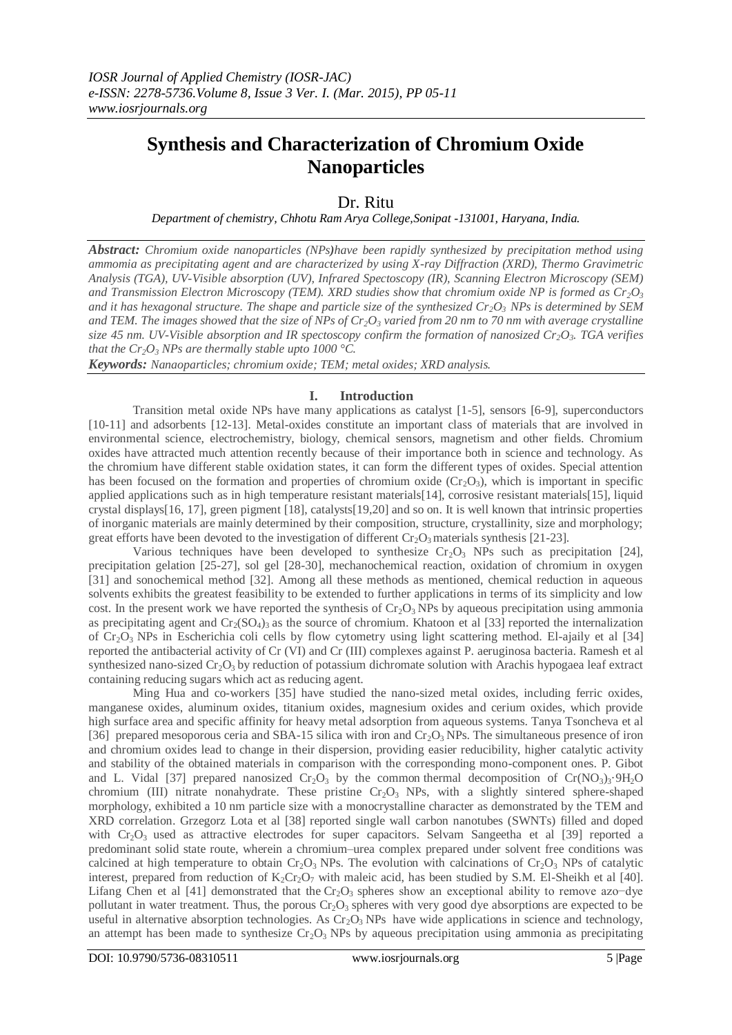# **Synthesis and Characterization of Chromium Oxide Nanoparticles**

# Dr. Ritu

*Department of chemistry, Chhotu Ram Arya College,Sonipat -131001, Haryana, India.*

*Abstract: Chromium oxide nanoparticles (NPs)have been rapidly synthesized by precipitation method using ammomia as precipitating agent and are characterized by using X-ray Diffraction (XRD), Thermo Gravimetric Analysis (TGA), UV-Visible absorption (UV), Infrared Spectoscopy (IR), Scanning Electron Microscopy (SEM) and Transmission Electron Microscopy (TEM). XRD studies show that chromium oxide NP is formed as Cr2O<sup>3</sup> and it has hexagonal structure. The shape and particle size of the synthesized Cr2O3 NPs is determined by SEM and TEM. The images showed that the size of NPs of Cr2O<sup>3</sup> varied from 20 nm to 70 nm with average crystalline size 45 nm. UV-Visible absorption and IR spectoscopy confirm the formation of nanosized Cr2O3. TGA verifies that the Cr*<sup>2</sup> $O_3$  *NPs are thermally stable upto 1000 °C.* 

*Keywords: Nanaoparticles; chromium oxide; TEM; metal oxides; XRD analysis.*

#### **I. Introduction**

Transition metal oxide NPs have many applications as catalyst [1-5], sensors [6-9], superconductors [10-11] and adsorbents [12-13]. Metal-oxides constitute an important class of materials that are involved in environmental science, electrochemistry, biology, chemical sensors, magnetism and other fields. Chromium oxides have attracted much attention recently because of their importance both in science and technology. As the chromium have different stable oxidation states, it can form the different types of oxides. Special attention has been focused on the formation and properties of chromium oxide  $(Cr_2O_3)$ , which is important in specific applied applications such as in high temperature resistant materials[14], corrosive resistant materials[15], liquid crystal displays[16, 17], green pigment [18], catalysts[19,20] and so on. It is well known that intrinsic properties of inorganic materials are mainly determined by their composition, structure, crystallinity, size and morphology; great efforts have been devoted to the investigation of different  $Cr_2O_3$  materials synthesis [21-23].

Various techniques have been developed to synthesize  $Cr_2O_3$  NPs such as precipitation [24], precipitation gelation [25-27], sol gel [28-30], mechanochemical reaction, oxidation of chromium in oxygen [31] and sonochemical method [32]. Among all these methods as mentioned, chemical reduction in aqueous solvents exhibits the greatest feasibility to be extended to further applications in terms of its simplicity and low cost. In the present work we have reported the synthesis of  $Cr_2O_3$  NPs by aqueous precipitation using ammonia as precipitating agent and  $Cr_2(SO_4)$  as the source of chromium. Khatoon et al [33] reported the internalization of Cr2O3 NPs in Escherichia coli cells by flow cytometry using light scattering method. El-ajaily et al [34] reported the antibacterial activity of Cr (VI) and Cr (III) complexes against P. aeruginosa bacteria. Ramesh et al synthesized nano-sized  $Cr_2O_3$  by reduction of potassium dichromate solution with Arachis hypogaea leaf extract containing reducing sugars which act as reducing agent.

Ming Hua and co-workers [35] have studied the nano-sized metal oxides, including ferric oxides, manganese oxides, aluminum oxides, titanium oxides, magnesium oxides and cerium oxides, which provide high surface area and specific affinity for heavy metal adsorption from aqueous systems. Tanya Tsoncheva et al [36] prepared mesoporous ceria and SBA-15 silica with iron and  $Cr_2O_3$  NPs. The simultaneous presence of iron and chromium oxides lead to change in their dispersion, providing easier reducibility, higher catalytic activity and stability of the obtained materials in comparison with the corresponding mono-component ones. P. Gibot and L. Vidal [37] prepared nanosized  $Cr_2O_3$  by the common thermal decomposition of  $Cr(NO_3)_3.9H_2O$ chromium (III) nitrate nonahydrate. These pristine  $Cr_2O_3$  NPs, with a slightly sintered sphere-shaped morphology, exhibited a 10 nm particle size with a monocrystalline character as demonstrated by the TEM and XRD correlation. Grzegorz Lota et al [38] reported single wall carbon nanotubes (SWNTs) filled and doped with  $Cr_2O_3$  used as attractive electrodes for super capacitors. Selvam Sangeetha et al [39] reported a predominant solid state route, wherein a chromium–urea complex prepared under solvent free conditions was calcined at high temperature to obtain  $Cr_2O_3$  NPs. The evolution with calcinations of  $Cr_2O_3$  NPs of catalytic interest, prepared from reduction of  $K_2Cr_2O_7$  with maleic acid, has been studied by S.M. El-Sheikh et al [40]. Lifang Chen et al [41] demonstrated that the Cr<sub>2</sub>O<sub>3</sub> spheres show an exceptional ability to remove azo-dye pollutant in water treatment. Thus, the porous  $Cr_2O_3$  spheres with very good dye absorptions are expected to be useful in alternative absorption technologies. As  $Cr_2O_3$  NPs have wide applications in science and technology, an attempt has been made to synthesize  $Cr_2O_3$  NPs by aqueous precipitation using ammonia as precipitating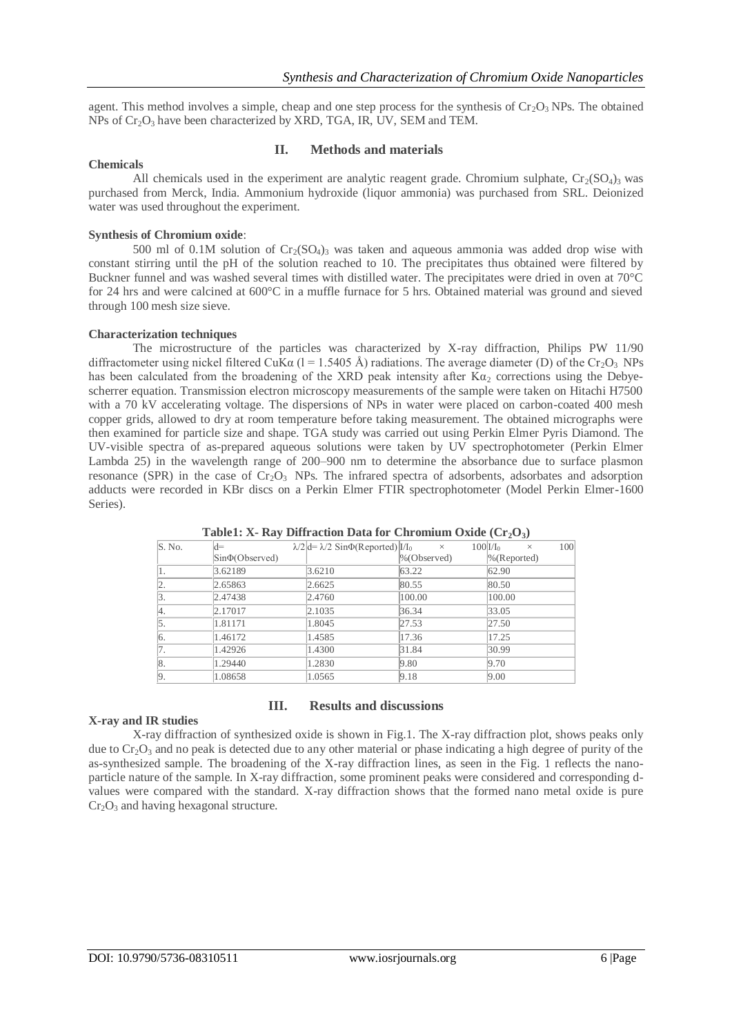agent. This method involves a simple, cheap and one step process for the synthesis of  $Cr_2O_3$  NPs. The obtained  $NPs$  of  $Cr_2O_3$  have been characterized by XRD, TGA, IR, UV, SEM and TEM.

# **Chemicals**

### **II. Methods and materials**

All chemicals used in the experiment are analytic reagent grade. Chromium sulphate,  $Cr_2(SO_4)$ <sub>3</sub> was purchased from Merck, India. Ammonium hydroxide (liquor ammonia) was purchased from SRL. Deionized water was used throughout the experiment.

## **Synthesis of Chromium oxide**:

500 ml of 0.1M solution of  $Cr_2(SO_4)$ <sub>3</sub> was taken and aqueous ammonia was added drop wise with constant stirring until the pH of the solution reached to 10. The precipitates thus obtained were filtered by Buckner funnel and was washed several times with distilled water. The precipitates were dried in oven at 70°C for 24 hrs and were calcined at 600°C in a muffle furnace for 5 hrs. Obtained material was ground and sieved through 100 mesh size sieve.

#### **Characterization techniques**

The microstructure of the particles was characterized by X-ray diffraction, Philips PW 11/90 diffractometer using nickel filtered CuKa  $(I = 1.5405 \text{ Å})$  radiations. The average diameter (D) of the Cr<sub>2</sub>O<sub>3</sub> NPs has been calculated from the broadening of the XRD peak intensity after  $K\alpha_2$  corrections using the Debyescherrer equation. Transmission electron microscopy measurements of the sample were taken on Hitachi H7500 with a 70 kV accelerating voltage. The dispersions of NPs in water were placed on carbon-coated 400 mesh copper grids, allowed to dry at room temperature before taking measurement. The obtained micrographs were then examined for particle size and shape. TGA study was carried out using Perkin Elmer Pyris Diamond. The UV-visible spectra of as-prepared aqueous solutions were taken by UV spectrophotometer (Perkin Elmer Lambda 25) in the wavelength range of 200–900 nm to determine the absorbance due to surface plasmon resonance (SPR) in the case of  $Cr_2O_3$  NPs. The infrared spectra of adsorbents, adsorbates and adsorption adducts were recorded in KBr discs on a Perkin Elmer FTIR spectrophotometer (Model Perkin Elmer-1600 Series).

| S. No. | $d=$                  | $\lambda/2$ d= $\lambda/2$ Sin $\Phi$ (Reported) $I/I_0$ | $\times$        | $100$ $V_{\text{lo}}$<br>$\times$ | 100 |
|--------|-----------------------|----------------------------------------------------------|-----------------|-----------------------------------|-----|
|        | $\sin\Phi(Ob)$ served |                                                          | $\%$ (Observed) | $\%$ (Reported)                   |     |
| Ι1.    | 3.62189               | 3.6210                                                   | 63.22           | 62.90                             |     |
| 2.     | 2.65863               | 2.6625                                                   | 80.55           | 80.50                             |     |
| 3.     | 2.47438               | 2.4760                                                   | 100.00          | 100.00                            |     |
| Ι4.    | 2.17017               | 2.1035                                                   | 36.34           | 33.05                             |     |
| 5.     | 1.81171               | 1.8045                                                   | 27.53           | 27.50                             |     |
| 6.     | 1.46172               | 1.4585                                                   | 17.36           | 17.25                             |     |
| 7.     | 1.42926               | 1.4300                                                   | 31.84           | 30.99                             |     |
| 8.     | 1.29440               | 1.2830                                                   | 9.80            | 9.70                              |     |
| 9.     | 1.08658               | 1.0565                                                   | 9.18            | 9.00                              |     |

**Table1: X- Ray Diffraction Data for Chromium Oxide (Cr2O3)**

#### **III. Results and discussions**

# **X-ray and IR studies**

X-ray diffraction of synthesized oxide is shown in Fig.1. The X-ray diffraction plot, shows peaks only due to  $Cr_2O_3$  and no peak is detected due to any other material or phase indicating a high degree of purity of the as-synthesized sample. The broadening of the X-ray diffraction lines, as seen in the Fig. 1 reflects the nanoparticle nature of the sample. In X-ray diffraction, some prominent peaks were considered and corresponding dvalues were compared with the standard. X-ray diffraction shows that the formed nano metal oxide is pure  $Cr<sub>2</sub>O<sub>3</sub>$  and having hexagonal structure.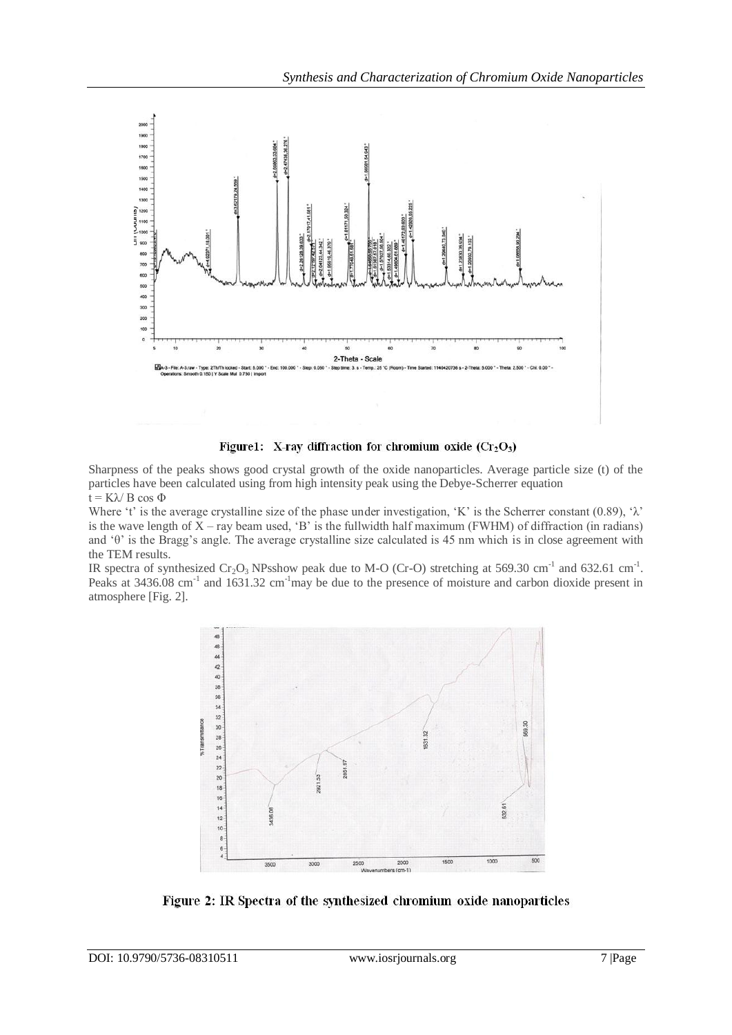

Figure1: X-ray diffraction for chromium oxide  $(Cr_2O_3)$ 

Sharpness of the peaks shows good crystal growth of the oxide nanoparticles. Average particle size (t) of the particles have been calculated using from high intensity peak using the Debye-Scherrer equation  $t = K\lambda/B \cos \Phi$ 

Where 't' is the average crystalline size of the phase under investigation, 'K' is the Scherrer constant (0.89), ' $\lambda$ ' is the wave length of  $X$  – ray beam used, 'B' is the fullwidth half maximum (FWHM) of diffraction (in radians) and 'θ' is the Bragg's angle. The average crystalline size calculated is 45 nm which is in close agreement with the TEM results.

IR spectra of synthesized  $Cr_2O_3$  NPsshow peak due to M-O (Cr-O) stretching at 569.30 cm<sup>-1</sup> and 632.61 cm<sup>-1</sup>. Peaks at 3436.08 cm<sup>-1</sup> and 1631.32 cm<sup>-1</sup>may be due to the presence of moisture and carbon dioxide present in atmosphere [Fig. 2].



Figure 2: IR Spectra of the synthesized chromium oxide nanoparticles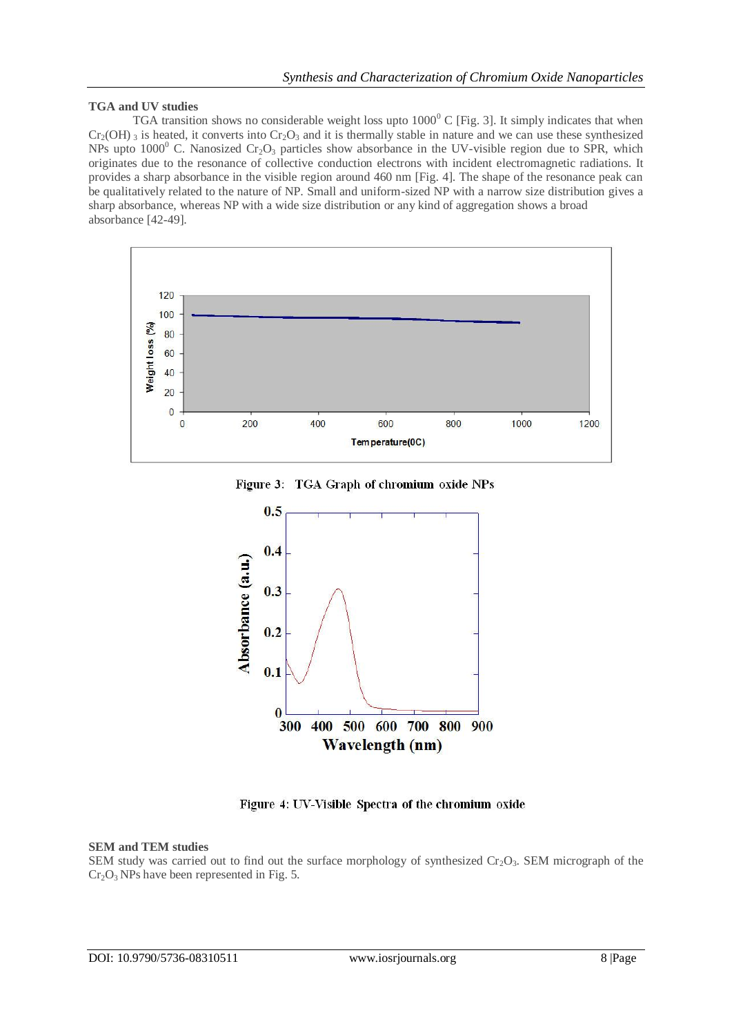## **TGA and UV studies**

TGA transition shows no considerable weight loss upto  $1000^{\circ}$  C [Fig. 3]. It simply indicates that when  $Cr_2(OH)$  3 is heated, it converts into  $Cr_2O_3$  and it is thermally stable in nature and we can use these synthesized NPs upto  $1000^{\circ}$  C. Nanosized Cr<sub>2</sub>O<sub>3</sub> particles show absorbance in the UV-visible region due to SPR, which originates due to the resonance of collective conduction electrons with incident electromagnetic radiations. It provides a sharp absorbance in the visible region around 460 nm [Fig. 4]. The shape of the resonance peak can be qualitatively related to the nature of NP. Small and uniform-sized NP with a narrow size distribution gives a sharp absorbance, whereas NP with a wide size distribution or any kind of aggregation shows a broad absorbance [42-49].



Figure 3: TGA Graph of chromium oxide NPs



Figure 4: UV-Visible Spectra of the chromium oxide

#### **SEM and TEM studies**

SEM study was carried out to find out the surface morphology of synthesized  $Cr_2O_3$ . SEM micrograph of the  $Cr<sub>2</sub>O<sub>3</sub>$  NPs have been represented in Fig. 5.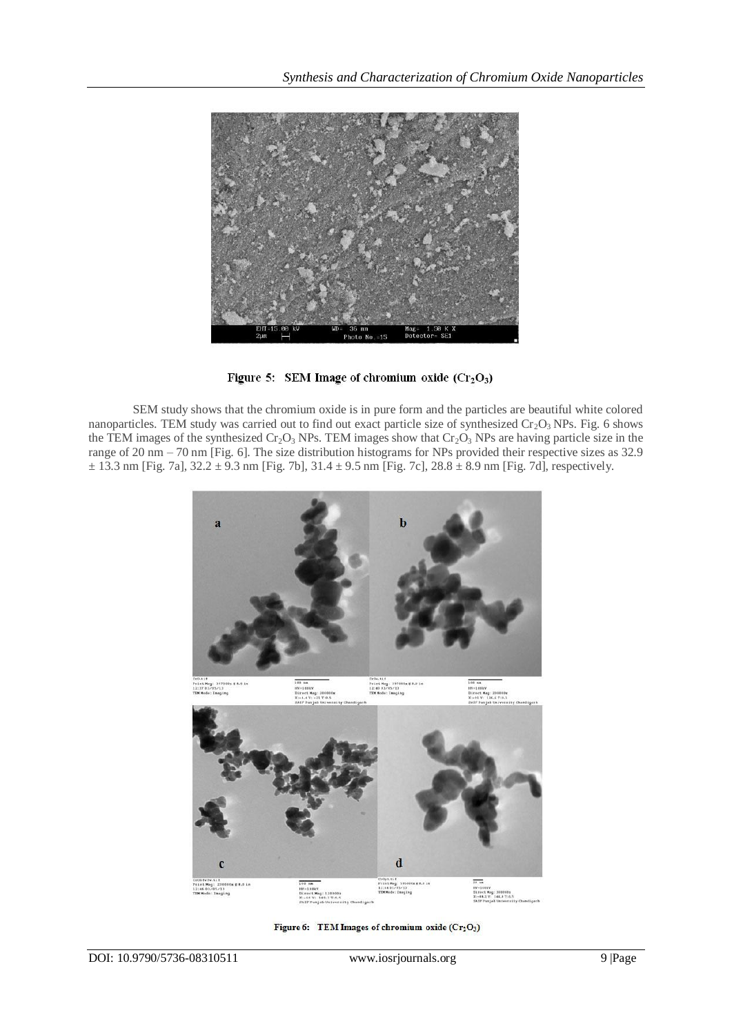

Figure 5: SEM Image of chromium oxide  $(Cr_2O_3)$ 

SEM study shows that the chromium oxide is in pure form and the particles are beautiful white colored nanoparticles. TEM study was carried out to find out exact particle size of synthesized  $Cr_2O_3$  NPs. Fig. 6 shows the TEM images of the synthesized  $Cr_2O_3$  NPs. TEM images show that  $Cr_2O_3$  NPs are having particle size in the range of 20 nm – 70 nm [Fig. 6]. The size distribution histograms for NPs provided their respective sizes as 32.9  $\pm$  13.3 nm [Fig. 7a], 32.2  $\pm$  9.3 nm [Fig. 7b], 31.4  $\pm$  9.5 nm [Fig. 7c], 28.8  $\pm$  8.9 nm [Fig. 7d], respectively.



Figure 6: TEM Images of chromium oxide (Cr<sub>2</sub>O<sub>3</sub>)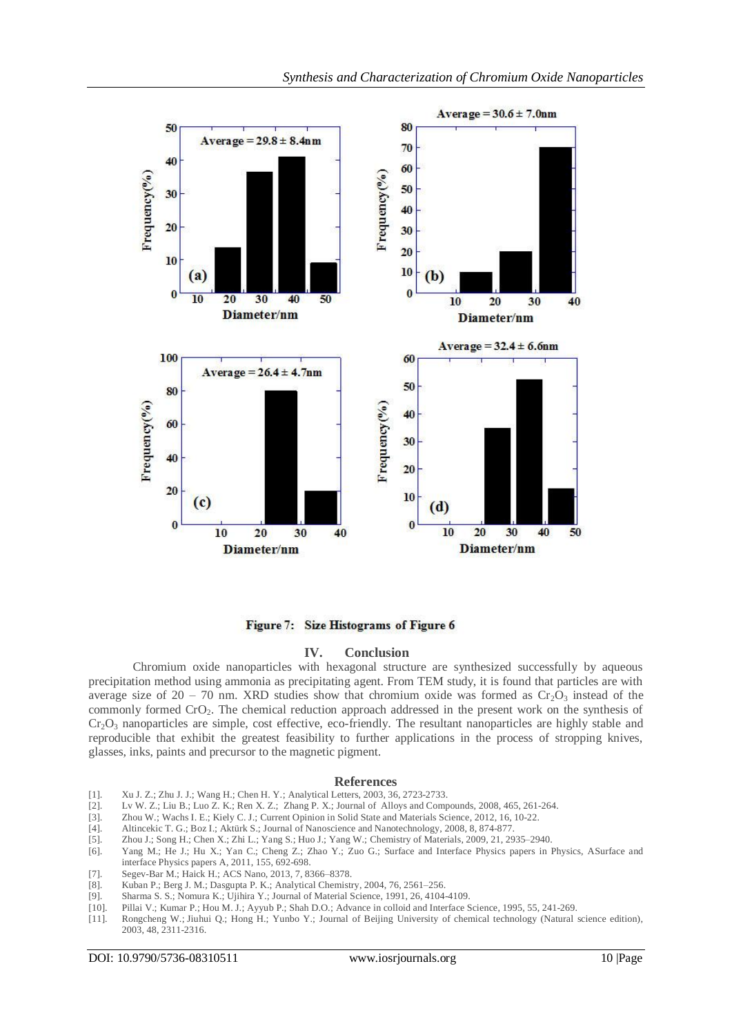

Figure 7: Size Histograms of Figure 6

#### **IV. Conclusion**

Chromium oxide nanoparticles with hexagonal structure are synthesized successfully by aqueous precipitation method using ammonia as precipitating agent. From TEM study, it is found that particles are with average size of 20 – 70 nm. XRD studies show that chromium oxide was formed as  $Cr_2O_3$  instead of the commonly formed CrO2. The chemical reduction approach addressed in the present work on the synthesis of  $Cr_2O_3$  nanoparticles are simple, cost effective, eco-friendly. The resultant nanoparticles are highly stable and reproducible that exhibit the greatest feasibility to further applications in the process of stropping knives, glasses, inks, paints and precursor to the magnetic pigment.

#### **References**

- [1]. Xu J. Z.; Zhu J. J.; Wang H.; Chen H. Y.; Analytical Letters, 2003, 36, 2723-2733.
- [2]. Lv W. Z.; Liu B.; Luo Z. K.; Ren X. Z.; Zhang P. X.; Journal of Alloys and Compounds, 2008, 465, 261-264.<br>[3]. Zhou W.; Wachs I. E.; Kiely C. J.; Current Opinion in Solid State and Materials Science, 2012, 16, 10-22.
- [3]. Zhou W.; Wachs I. E.; Kiely C. J.; Current Opinion in Solid State and Materials Science, 2012, 16, 10-22. [4]. Altincekic T. G.; Boz I.; Aktürk S.; Journal of Nanoscience and Nanotechnology, 2008, 8, 874-877.
- [4]. Altincekic T. G.; Boz I.; Aktürk S.; Journal of Nanoscience and Nanotechnology, 2008, 8, 874-877.
- [5]. Zhou J.; Song H.; Chen X.; Zhi L.; Yang S.; Huo J.; Yang W.; Chemistry of Materials, 2009, 21, 2935–2940.
- [6]. Yang M.; He J.; Hu X.; Yan C.; Cheng Z.; Zhao Y.; Zuo G.; Surface and Interface Physics papers in Physics, ASurface and interface Physics papers A, 2011, 155, 692-698.
- [7]. Segev-Bar M.; Haick H.; ACS Nano, 2013, 7, 8366–8378.
- [8]. Kuban P.; Berg J. M.; Dasgupta P. K.; Analytical Chemistry, 2004, 76, 2561–256.
- [9]. Sharma S. S.; Nomura K.; Ujihira Y.; Journal of Material Science, 1991, 26, 4104-4109.
- [10]. Pillai V.; Kumar P.; Hou M. J.; Ayyub P.; Shah D.O.; Advance in colloid and Interface Science, 1995, 55, 241-269.
- [11]. Rongcheng W.; Jiuhui Q.; Hong H.; Yunbo Y.; Journal of Beijing University of chemical technology (Natural science edition), 2003, 48, 2311-2316.